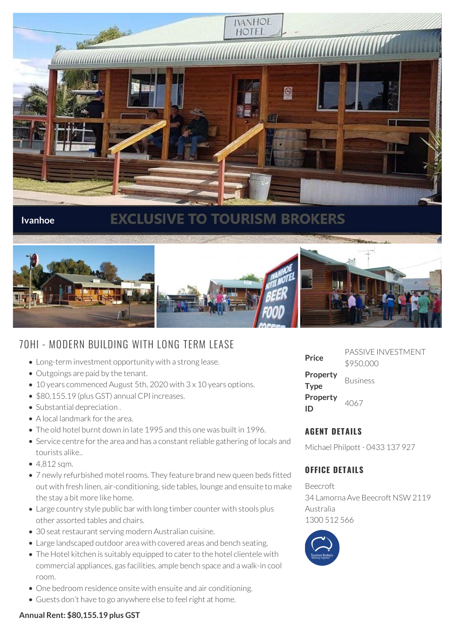

## **Ivanhoe**

# **EXCLUSIVE TO TOURISM BROKERS**



## 70HI - MODERN BUILDING WITH LONG TERM LEASE

- Long-term investment opportunity with a strong lease.
- Outgoings are paid by the tenant.
- 10 years commenced August 5th, 2020 with 3 x 10 years options.
- \$80,155.19 (plus GST) annual CPI increases.
- Substantial depreciation.
- A local landmark for the area.
- The old hotel burnt down in late 1995 and this one was built in 1996.
- Service centre for the area and has a constant reliable gathering of locals and tourists alike..
- 4,812 sqm.
- 7 newly refurbished motel rooms. They feature brand new queen beds fitted out with fresh linen, air-conditioning, side tables, lounge and ensuite to make the stay a bit more like home.
- Large country style public bar with long timber counter with stools plus other assorted tables and chairs.
- 30 seat restaurant serving modern Australian cuisine.
- Large landscaped outdoor area with covered areas and bench seating.
- The Hotel kitchen is suitably equipped to cater to the hotel clientele with commercial appliances, gas facilities, ample bench space and a walk-in cool room.
- One bedroom residence onsite with ensuite and air conditioning.
- Guests don't have to go anywhere else to feel right at home.

| Price                   | PASSIVE INVESTMENT<br>\$950,000 |
|-------------------------|---------------------------------|
| Property<br><b>Type</b> | <b>Business</b>                 |
| Property<br>ID          | 4067                            |

## **AGENT DETAILS**

Michael Philpott - 0433 137 927

## **OFFICE DETAILS**

Beecroft 34 Lamorna Ave Beecroft NSW 2119 Australia 1300 512 566



#### **Annual Rent: \$80,155.19 plus GST**